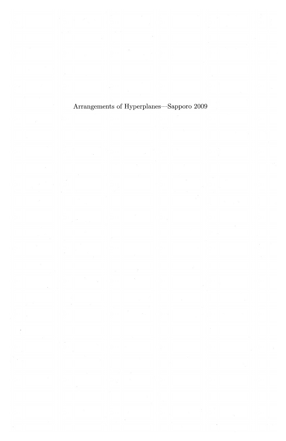Arrangements of Hyperplanes-Sapporo **2009**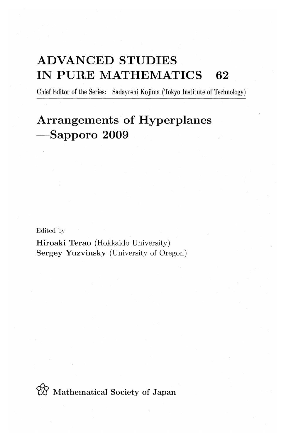## **ADVANCED STUDIES IN PURE MATHEMATICS 62**

Chief Editor of the Series: Sadayoshi Kojima (Tokyo Institute of Technology)

## **Arrangements of Hyperplanes -Sapporo 2009**

Edited by

Hiroaki Terao (Hokkaido University) Sergey Yuzvinsky (University of Oregon)

*W* Mathematical Society of Japan